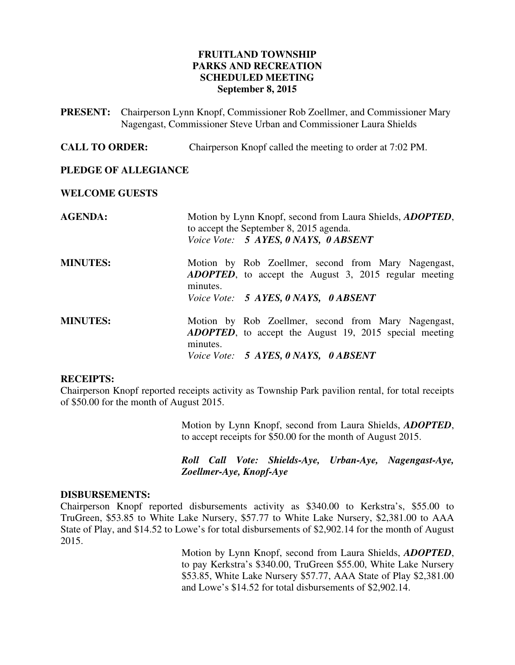## **FRUITLAND TOWNSHIP PARKS AND RECREATION SCHEDULED MEETING September 8, 2015**

- **PRESENT:** Chairperson Lynn Knopf, Commissioner Rob Zoellmer, and Commissioner Mary Nagengast, Commissioner Steve Urban and Commissioner Laura Shields
- **CALL TO ORDER:** Chairperson Knopf called the meeting to order at 7:02 PM.

#### **PLEDGE OF ALLEGIANCE**

#### **WELCOME GUESTS**

| <b>AGENDA:</b>  | Motion by Lynn Knopf, second from Laura Shields, <i>ADOPTED</i> ,<br>to accept the September 8, 2015 agenda.<br>Voice Vote: 5 AYES, 0 NAYS, 0 ABSENT |
|-----------------|------------------------------------------------------------------------------------------------------------------------------------------------------|
| <b>MINUTES:</b> | Motion by Rob Zoellmer, second from Mary Nagengast,<br><b>ADOPTED</b> , to accept the August 3, 2015 regular meeting<br>minutes.                     |
|                 | Voice Vote: 5 AYES, 0 NAYS, 0 ABSENT                                                                                                                 |
| <b>MINUTES:</b> | Motion by Rob Zoellmer, second from Mary Nagengast,<br><b>ADOPTED</b> , to accept the August 19, 2015 special meeting<br>minutes.                    |
|                 | Voice Vote: 5 AYES, 0 NAYS, 0 ABSENT                                                                                                                 |

#### **RECEIPTS:**

Chairperson Knopf reported receipts activity as Township Park pavilion rental, for total receipts of \$50.00 for the month of August 2015.

> Motion by Lynn Knopf, second from Laura Shields, *ADOPTED*, to accept receipts for \$50.00 for the month of August 2015.

> *Roll Call Vote: Shields-Aye, Urban-Aye, Nagengast-Aye, Zoellmer-Aye, Knopf-Aye*

#### **DISBURSEMENTS:**

Chairperson Knopf reported disbursements activity as \$340.00 to Kerkstra's, \$55.00 to TruGreen, \$53.85 to White Lake Nursery, \$57.77 to White Lake Nursery, \$2,381.00 to AAA State of Play, and \$14.52 to Lowe's for total disbursements of \$2,902.14 for the month of August 2015.

> Motion by Lynn Knopf, second from Laura Shields, *ADOPTED*, to pay Kerkstra's \$340.00, TruGreen \$55.00, White Lake Nursery \$53.85, White Lake Nursery \$57.77, AAA State of Play \$2,381.00 and Lowe's \$14.52 for total disbursements of \$2,902.14.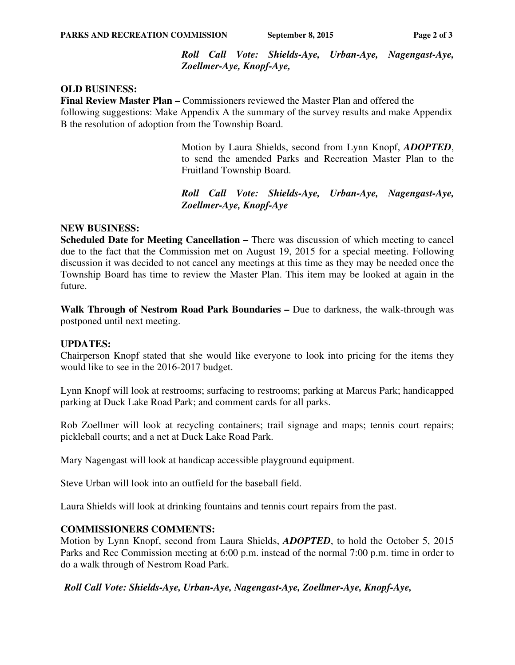*Roll Call Vote: Shields-Aye, Urban-Aye, Nagengast-Aye, Zoellmer-Aye, Knopf-Aye,* 

## **OLD BUSINESS:**

**Final Review Master Plan –** Commissioners reviewed the Master Plan and offered the following suggestions: Make Appendix A the summary of the survey results and make Appendix B the resolution of adoption from the Township Board.

> Motion by Laura Shields, second from Lynn Knopf, *ADOPTED*, to send the amended Parks and Recreation Master Plan to the Fruitland Township Board.

> *Roll Call Vote: Shields-Aye, Urban-Aye, Nagengast-Aye, Zoellmer-Aye, Knopf-Aye*

## **NEW BUSINESS:**

**Scheduled Date for Meeting Cancellation – There was discussion of which meeting to cancel** due to the fact that the Commission met on August 19, 2015 for a special meeting. Following discussion it was decided to not cancel any meetings at this time as they may be needed once the Township Board has time to review the Master Plan. This item may be looked at again in the future.

**Walk Through of Nestrom Road Park Boundaries –** Due to darkness, the walk-through was postponed until next meeting.

## **UPDATES:**

Chairperson Knopf stated that she would like everyone to look into pricing for the items they would like to see in the 2016-2017 budget.

Lynn Knopf will look at restrooms; surfacing to restrooms; parking at Marcus Park; handicapped parking at Duck Lake Road Park; and comment cards for all parks.

Rob Zoellmer will look at recycling containers; trail signage and maps; tennis court repairs; pickleball courts; and a net at Duck Lake Road Park.

Mary Nagengast will look at handicap accessible playground equipment.

Steve Urban will look into an outfield for the baseball field.

Laura Shields will look at drinking fountains and tennis court repairs from the past.

## **COMMISSIONERS COMMENTS:**

Motion by Lynn Knopf, second from Laura Shields, *ADOPTED*, to hold the October 5, 2015 Parks and Rec Commission meeting at 6:00 p.m. instead of the normal 7:00 p.m. time in order to do a walk through of Nestrom Road Park.

## *Roll Call Vote: Shields-Aye, Urban-Aye, Nagengast-Aye, Zoellmer-Aye, Knopf-Aye,*